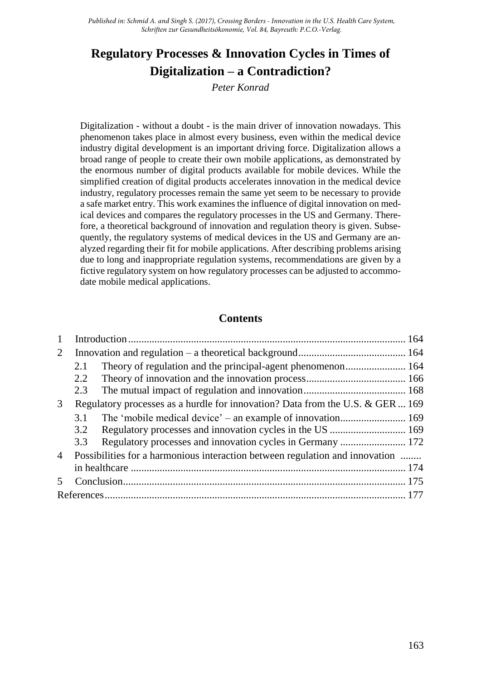*Published in: Schmid A. and Singh S. (2017), Crossing Borders - Innovation in the U.S. Health Care System, Schriften zur Gesundheitsökonomie, Vol. 84, Bayreuth: P.C.O.-Verlag.*

# **Regulatory Processes & Innovation Cycles in Times of Digitalization – a Contradiction?**

*Peter Konrad*

Digitalization - without a doubt - is the main driver of innovation nowadays. This phenomenon takes place in almost every business, even within the medical device industry digital development is an important driving force. Digitalization allows a broad range of people to create their own mobile applications, as demonstrated by the enormous number of digital products available for mobile devices. While the simplified creation of digital products accelerates innovation in the medical device industry, regulatory processes remain the same yet seem to be necessary to provide a safe market entry. This work examines the influence of digital innovation on medical devices and compares the regulatory processes in the US and Germany. Therefore, a theoretical background of innovation and regulation theory is given. Subsequently, the regulatory systems of medical devices in the US and Germany are analyzed regarding their fit for mobile applications. After describing problems arising due to long and inappropriate regulation systems, recommendations are given by a fictive regulatory system on how regulatory processes can be adjusted to accommodate mobile medical applications.

#### **Contents**

| $\mathbf{1}$   |                                                                                |  |  |  |
|----------------|--------------------------------------------------------------------------------|--|--|--|
| 2              |                                                                                |  |  |  |
|                | 2.1                                                                            |  |  |  |
|                | 2.2                                                                            |  |  |  |
|                | 2.3                                                                            |  |  |  |
| 3              | Regulatory processes as a hurdle for innovation? Data from the U.S. & GER  169 |  |  |  |
|                | 3.1                                                                            |  |  |  |
|                | 3.2                                                                            |  |  |  |
|                | 3.3                                                                            |  |  |  |
| $\overline{4}$ | Possibilities for a harmonious interaction between regulation and innovation   |  |  |  |
|                |                                                                                |  |  |  |
|                |                                                                                |  |  |  |
|                |                                                                                |  |  |  |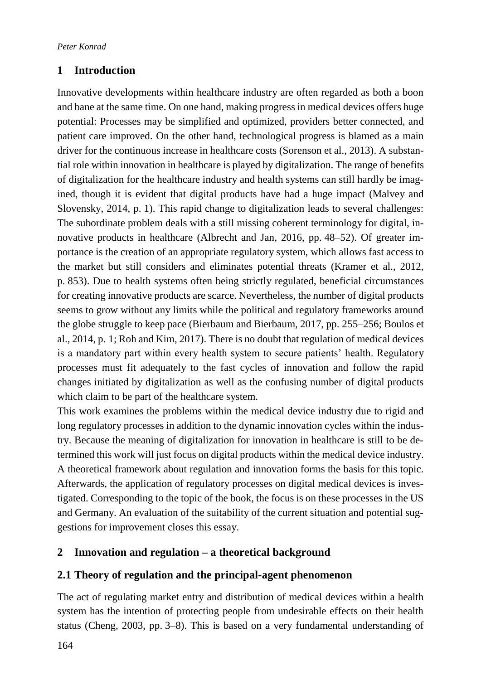### <span id="page-1-0"></span>**1 Introduction**

Innovative developments within healthcare industry are often regarded as both a boon and bane at the same time. On one hand, making progress in medical devices offers huge potential: Processes may be simplified and optimized, providers better connected, and patient care improved. On the other hand, technological progress is blamed as a main driver for the continuous increase in healthcare costs (Sorenson et al., 2013). A substantial role within innovation in healthcare is played by digitalization. The range of benefits of digitalization for the healthcare industry and health systems can still hardly be imagined, though it is evident that digital products have had a huge impact (Malvey and Slovensky, 2014, p. 1). This rapid change to digitalization leads to several challenges: The subordinate problem deals with a still missing coherent terminology for digital, innovative products in healthcare (Albrecht and Jan, 2016, pp. 48–52). Of greater importance is the creation of an appropriate regulatory system, which allows fast access to the market but still considers and eliminates potential threats (Kramer et al., 2012, p. 853). Due to health systems often being strictly regulated, beneficial circumstances for creating innovative products are scarce. Nevertheless, the number of digital products seems to grow without any limits while the political and regulatory frameworks around the globe struggle to keep pace (Bierbaum and Bierbaum, 2017, pp. 255–256; Boulos et al., 2014, p. 1; Roh and Kim, 2017). There is no doubt that regulation of medical devices is a mandatory part within every health system to secure patients' health. Regulatory processes must fit adequately to the fast cycles of innovation and follow the rapid changes initiated by digitalization as well as the confusing number of digital products which claim to be part of the healthcare system.

This work examines the problems within the medical device industry due to rigid and long regulatory processes in addition to the dynamic innovation cycles within the industry. Because the meaning of digitalization for innovation in healthcare is still to be determined this work will just focus on digital products within the medical device industry. A theoretical framework about regulation and innovation forms the basis for this topic. Afterwards, the application of regulatory processes on digital medical devices is investigated. Corresponding to the topic of the book, the focus is on these processes in the US and Germany. An evaluation of the suitability of the current situation and potential suggestions for improvement closes this essay.

### <span id="page-1-1"></span>**2 Innovation and regulation – a theoretical background**

#### <span id="page-1-2"></span>**2.1 Theory of regulation and the principal-agent phenomenon**

The act of regulating market entry and distribution of medical devices within a health system has the intention of protecting people from undesirable effects on their health status (Cheng, 2003, pp. 3–8). This is based on a very fundamental understanding of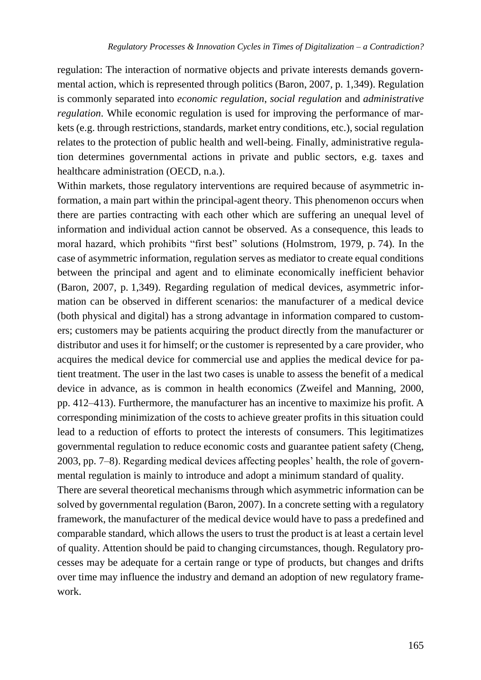regulation: The interaction of normative objects and private interests demands governmental action, which is represented through politics (Baron, 2007, p. 1,349). Regulation is commonly separated into *economic regulation*, *social regulation* and *administrative regulation*. While economic regulation is used for improving the performance of markets (e.g. through restrictions, standards, market entry conditions, etc.), social regulation relates to the protection of public health and well-being. Finally, administrative regulation determines governmental actions in private and public sectors, e.g. taxes and healthcare administration (OECD, n.a.).

Within markets, those regulatory interventions are required because of asymmetric information, a main part within the principal-agent theory. This phenomenon occurs when there are parties contracting with each other which are suffering an unequal level of information and individual action cannot be observed. As a consequence, this leads to moral hazard, which prohibits "first best" solutions (Holmstrom, 1979, p. 74). In the case of asymmetric information, regulation serves as mediator to create equal conditions between the principal and agent and to eliminate economically inefficient behavior (Baron, 2007, p. 1,349). Regarding regulation of medical devices, asymmetric information can be observed in different scenarios: the manufacturer of a medical device (both physical and digital) has a strong advantage in information compared to customers; customers may be patients acquiring the product directly from the manufacturer or distributor and uses it for himself; or the customer is represented by a care provider, who acquires the medical device for commercial use and applies the medical device for patient treatment. The user in the last two cases is unable to assess the benefit of a medical device in advance, as is common in health economics (Zweifel and Manning, 2000, pp. 412–413). Furthermore, the manufacturer has an incentive to maximize his profit. A corresponding minimization of the costs to achieve greater profits in this situation could lead to a reduction of efforts to protect the interests of consumers. This legitimatizes governmental regulation to reduce economic costs and guarantee patient safety (Cheng, 2003, pp. 7–8). Regarding medical devices affecting peoples' health, the role of governmental regulation is mainly to introduce and adopt a minimum standard of quality. There are several theoretical mechanisms through which asymmetric information can be

solved by governmental regulation (Baron, 2007). In a concrete setting with a regulatory framework, the manufacturer of the medical device would have to pass a predefined and comparable standard, which allows the users to trust the product is at least a certain level of quality. Attention should be paid to changing circumstances, though. Regulatory processes may be adequate for a certain range or type of products, but changes and drifts over time may influence the industry and demand an adoption of new regulatory framework.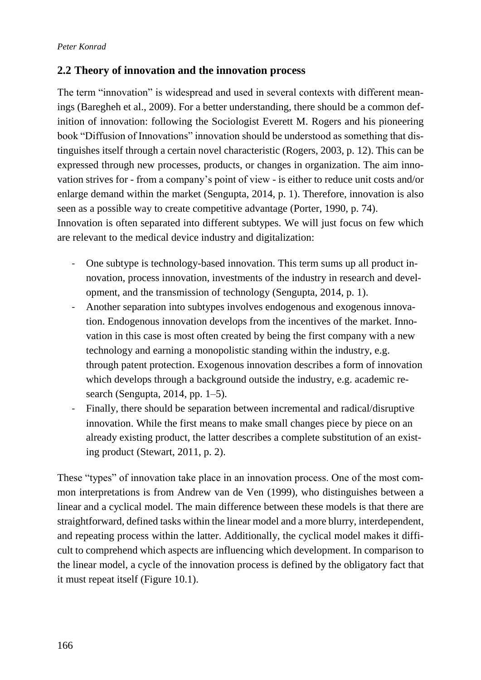### <span id="page-3-0"></span>**2.2 Theory of innovation and the innovation process**

The term "innovation" is widespread and used in several contexts with different meanings (Baregheh et al., 2009). For a better understanding, there should be a common definition of innovation: following the Sociologist Everett M. Rogers and his pioneering book "Diffusion of Innovations" innovation should be understood as something that distinguishes itself through a certain novel characteristic (Rogers, 2003, p. 12). This can be expressed through new processes, products, or changes in organization. The aim innovation strives for - from a company's point of view - is either to reduce unit costs and/or enlarge demand within the market (Sengupta, 2014, p. 1). Therefore, innovation is also seen as a possible way to create competitive advantage (Porter, 1990, p. 74).

Innovation is often separated into different subtypes. We will just focus on few which are relevant to the medical device industry and digitalization:

- One subtype is technology-based innovation. This term sums up all product innovation, process innovation, investments of the industry in research and development, and the transmission of technology (Sengupta, 2014, p. 1).
- Another separation into subtypes involves endogenous and exogenous innovation. Endogenous innovation develops from the incentives of the market. Innovation in this case is most often created by being the first company with a new technology and earning a monopolistic standing within the industry, e.g. through patent protection. Exogenous innovation describes a form of innovation which develops through a background outside the industry, e.g. academic research (Sengupta, 2014, pp. 1–5).
- Finally, there should be separation between incremental and radical/disruptive innovation. While the first means to make small changes piece by piece on an already existing product, the latter describes a complete substitution of an existing product (Stewart, 2011, p. 2).

These "types" of innovation take place in an innovation process. One of the most common interpretations is from Andrew van de Ven (1999), who distinguishes between a linear and a cyclical model. The main difference between these models is that there are straightforward, defined tasks within the linear model and a more blurry, interdependent, and repeating process within the latter. Additionally, the cyclical model makes it difficult to comprehend which aspects are influencing which development. In comparison to the linear model, a cycle of the innovation process is defined by the obligatory fact that it must repeat itself (Figure 10.1).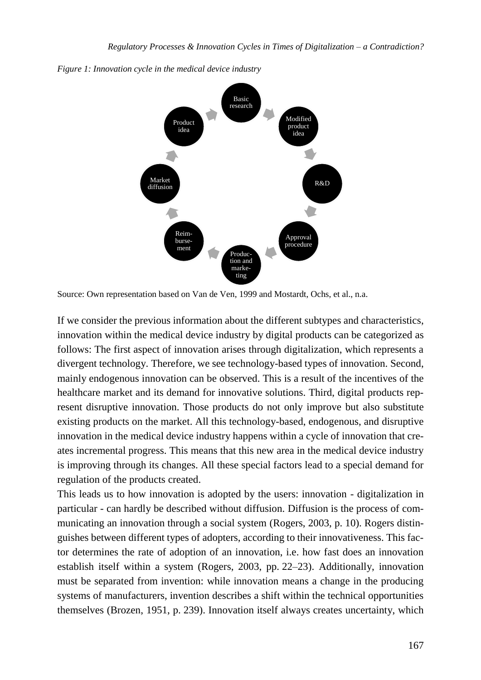

*Figure 1: Innovation cycle in the medical device industry* 

Source: Own representation based on Van de Ven, 1999 and Mostardt, Ochs, et al., n.a.

If we consider the previous information about the different subtypes and characteristics, innovation within the medical device industry by digital products can be categorized as follows: The first aspect of innovation arises through digitalization, which represents a divergent technology. Therefore, we see technology-based types of innovation. Second, mainly endogenous innovation can be observed. This is a result of the incentives of the healthcare market and its demand for innovative solutions. Third, digital products represent disruptive innovation. Those products do not only improve but also substitute existing products on the market. All this technology-based, endogenous, and disruptive innovation in the medical device industry happens within a cycle of innovation that creates incremental progress. This means that this new area in the medical device industry is improving through its changes. All these special factors lead to a special demand for regulation of the products created.

This leads us to how innovation is adopted by the users: innovation - digitalization in particular - can hardly be described without diffusion. Diffusion is the process of communicating an innovation through a social system (Rogers, 2003, p. 10). Rogers distinguishes between different types of adopters, according to their innovativeness. This factor determines the rate of adoption of an innovation, i.e. how fast does an innovation establish itself within a system (Rogers, 2003, pp. 22–23). Additionally, innovation must be separated from invention: while innovation means a change in the producing systems of manufacturers, invention describes a shift within the technical opportunities themselves (Brozen, 1951, p. 239). Innovation itself always creates uncertainty, which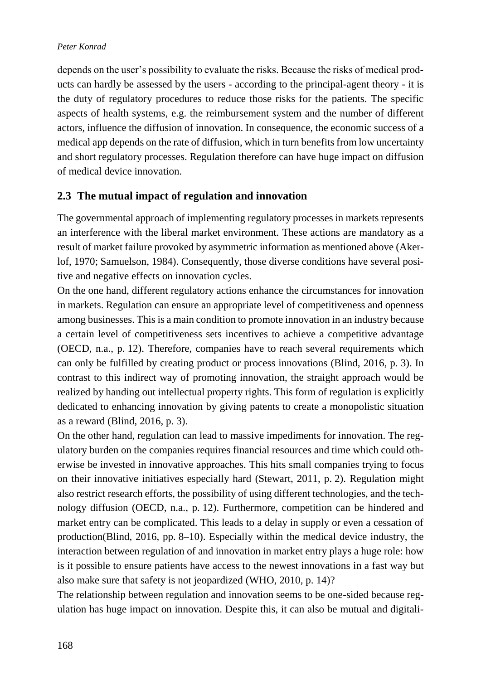depends on the user's possibility to evaluate the risks. Because the risks of medical products can hardly be assessed by the users - according to the principal-agent theory - it is the duty of regulatory procedures to reduce those risks for the patients. The specific aspects of health systems, e.g. the reimbursement system and the number of different actors, influence the diffusion of innovation. In consequence, the economic success of a medical app depends on the rate of diffusion, which in turn benefits from low uncertainty and short regulatory processes. Regulation therefore can have huge impact on diffusion of medical device innovation.

### <span id="page-5-0"></span>**2.3 The mutual impact of regulation and innovation**

The governmental approach of implementing regulatory processes in markets represents an interference with the liberal market environment. These actions are mandatory as a result of market failure provoked by asymmetric information as mentioned above (Akerlof, 1970; Samuelson, 1984). Consequently, those diverse conditions have several positive and negative effects on innovation cycles.

On the one hand, different regulatory actions enhance the circumstances for innovation in markets. Regulation can ensure an appropriate level of competitiveness and openness among businesses. This is a main condition to promote innovation in an industry because a certain level of competitiveness sets incentives to achieve a competitive advantage (OECD, n.a., p. 12). Therefore, companies have to reach several requirements which can only be fulfilled by creating product or process innovations (Blind, 2016, p. 3). In contrast to this indirect way of promoting innovation, the straight approach would be realized by handing out intellectual property rights. This form of regulation is explicitly dedicated to enhancing innovation by giving patents to create a monopolistic situation as a reward (Blind, 2016, p. 3).

On the other hand, regulation can lead to massive impediments for innovation. The regulatory burden on the companies requires financial resources and time which could otherwise be invested in innovative approaches. This hits small companies trying to focus on their innovative initiatives especially hard (Stewart, 2011, p. 2). Regulation might also restrict research efforts, the possibility of using different technologies, and the technology diffusion (OECD, n.a., p. 12). Furthermore, competition can be hindered and market entry can be complicated. This leads to a delay in supply or even a cessation of production(Blind, 2016, pp. 8–10). Especially within the medical device industry, the interaction between regulation of and innovation in market entry plays a huge role: how is it possible to ensure patients have access to the newest innovations in a fast way but also make sure that safety is not jeopardized (WHO, 2010, p. 14)?

The relationship between regulation and innovation seems to be one-sided because regulation has huge impact on innovation. Despite this, it can also be mutual and digitali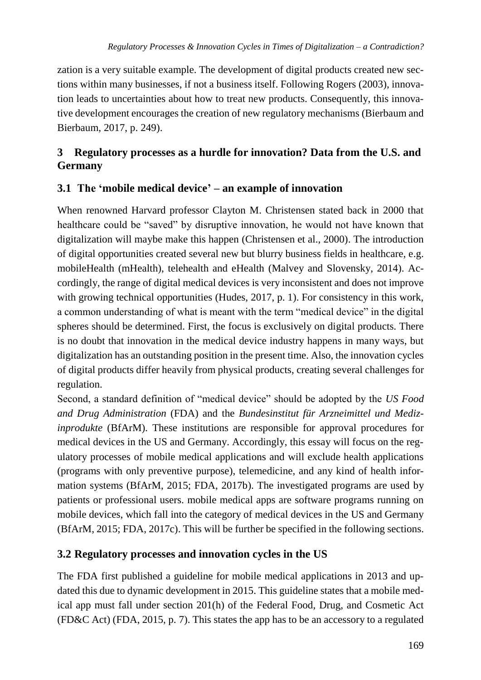zation is a very suitable example. The development of digital products created new sections within many businesses, if not a business itself. Following Rogers (2003), innovation leads to uncertainties about how to treat new products. Consequently, this innovative development encourages the creation of new regulatory mechanisms (Bierbaum and Bierbaum, 2017, p. 249).

# <span id="page-6-0"></span>**3 Regulatory processes as a hurdle for innovation? Data from the U.S. and Germany**

### <span id="page-6-1"></span>**3.1 The 'mobile medical device' – an example of innovation**

When renowned Harvard professor Clayton M. Christensen stated back in 2000 that healthcare could be "saved" by disruptive innovation, he would not have known that digitalization will maybe make this happen (Christensen et al., 2000). The introduction of digital opportunities created several new but blurry business fields in healthcare, e.g. mobileHealth (mHealth), telehealth and eHealth (Malvey and Slovensky, 2014). Accordingly, the range of digital medical devices is very inconsistent and does not improve with growing technical opportunities (Hudes, 2017, p. 1). For consistency in this work, a common understanding of what is meant with the term "medical device" in the digital spheres should be determined. First, the focus is exclusively on digital products. There is no doubt that innovation in the medical device industry happens in many ways, but digitalization has an outstanding position in the present time. Also, the innovation cycles of digital products differ heavily from physical products, creating several challenges for regulation.

Second, a standard definition of "medical device" should be adopted by the *US Food and Drug Administration* (FDA) and the *Bundesinstitut für Arzneimittel und Medizinprodukte* (BfArM). These institutions are responsible for approval procedures for medical devices in the US and Germany. Accordingly, this essay will focus on the regulatory processes of mobile medical applications and will exclude health applications (programs with only preventive purpose), telemedicine, and any kind of health information systems (BfArM, 2015; FDA, 2017b). The investigated programs are used by patients or professional users. mobile medical apps are software programs running on mobile devices, which fall into the category of medical devices in the US and Germany (BfArM, 2015; FDA, 2017c). This will be further be specified in the following sections.

### <span id="page-6-2"></span>**3.2 Regulatory processes and innovation cycles in the US**

The FDA first published a guideline for mobile medical applications in 2013 and updated this due to dynamic development in 2015. This guideline states that a mobile medical app must fall under section 201(h) of the Federal Food, Drug, and Cosmetic Act (FD&C Act) (FDA, 2015, p. 7). This states the app has to be an accessory to a regulated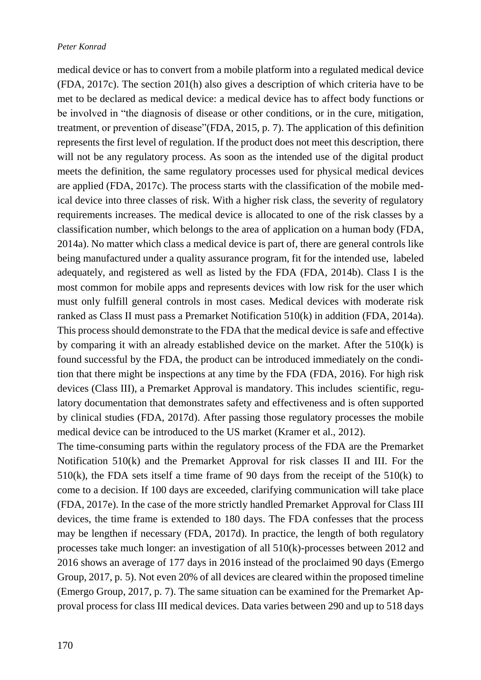medical device or has to convert from a mobile platform into a regulated medical device (FDA, 2017c). The section 201(h) also gives a description of which criteria have to be met to be declared as medical device: a medical device has to affect body functions or be involved in "the diagnosis of disease or other conditions, or in the cure, mitigation, treatment, or prevention of disease"(FDA, 2015, p. 7). The application of this definition represents the first level of regulation. If the product does not meet this description, there will not be any regulatory process. As soon as the intended use of the digital product meets the definition, the same regulatory processes used for physical medical devices are applied (FDA, 2017c). The process starts with the classification of the mobile medical device into three classes of risk. With a higher risk class, the severity of regulatory requirements increases. The medical device is allocated to one of the risk classes by a classification number, which belongs to the area of application on a human body (FDA, 2014a). No matter which class a medical device is part of, there are general controls like being manufactured under a quality assurance program, fit for the intended use, labeled adequately, and registered as well as listed by the FDA (FDA, 2014b). Class I is the most common for mobile apps and represents devices with low risk for the user which must only fulfill general controls in most cases. Medical devices with moderate risk ranked as Class II must pass a Premarket Notification 510(k) in addition (FDA, 2014a). This process should demonstrate to the FDA that the medical device is safe and effective by comparing it with an already established device on the market. After the 510(k) is found successful by the FDA, the product can be introduced immediately on the condition that there might be inspections at any time by the FDA (FDA, 2016). For high risk devices (Class III), a Premarket Approval is mandatory. This includes scientific, regulatory documentation that demonstrates safety and effectiveness and is often supported by clinical studies (FDA, 2017d). After passing those regulatory processes the mobile medical device can be introduced to the US market (Kramer et al., 2012).

The time-consuming parts within the regulatory process of the FDA are the Premarket Notification 510(k) and the Premarket Approval for risk classes II and III. For the 510(k), the FDA sets itself a time frame of 90 days from the receipt of the 510(k) to come to a decision. If 100 days are exceeded, clarifying communication will take place (FDA, 2017e). In the case of the more strictly handled Premarket Approval for Class III devices, the time frame is extended to 180 days. The FDA confesses that the process may be lengthen if necessary (FDA, 2017d). In practice, the length of both regulatory processes take much longer: an investigation of all 510(k)-processes between 2012 and 2016 shows an average of 177 days in 2016 instead of the proclaimed 90 days (Emergo Group, 2017, p. 5). Not even 20% of all devices are cleared within the proposed timeline (Emergo Group, 2017, p. 7). The same situation can be examined for the Premarket Approval process for class III medical devices. Data varies between 290 and up to 518 days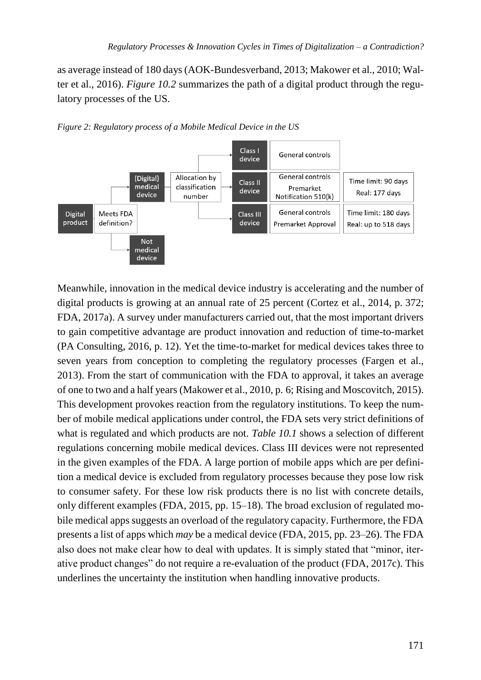as average instead of 180 days (AOK-Bundesverband, 2013; Makower et al., 2010; Walter et al., 2016). *Figure 10.2* summarizes the path of a digital product through the regulatory processes of the US.



*Figure 2: Regulatory process of a Mobile Medical Device in the US*

Meanwhile, innovation in the medical device industry is accelerating and the number of digital products is growing at an annual rate of 25 percent (Cortez et al., 2014, p. 372; FDA, 2017a). A survey under manufacturers carried out, that the most important drivers to gain competitive advantage are product innovation and reduction of time-to-market (PA Consulting, 2016, p. 12). Yet the time-to-market for medical devices takes three to seven years from conception to completing the regulatory processes (Fargen et al., 2013). From the start of communication with the FDA to approval, it takes an average of one to two and a half years (Makower et al., 2010, p. 6; Rising and Moscovitch, 2015). This development provokes reaction from the regulatory institutions. To keep the number of mobile medical applications under control, the FDA sets very strict definitions of what is regulated and which products are not. *Table 10.1* shows a selection of different regulations concerning mobile medical devices. Class III devices were not represented in the given examples of the FDA. A large portion of mobile apps which are per definition a medical device is excluded from regulatory processes because they pose low risk to consumer safety. For these low risk products there is no list with concrete details, only different examples (FDA, 2015, pp. 15–18). The broad exclusion of regulated mobile medical apps suggests an overload of the regulatory capacity. Furthermore, the FDA presents a list of apps which *may* be a medical device (FDA, 2015, pp. 23–26). The FDA also does not make clear how to deal with updates. It is simply stated that "minor, iterative product changes" do not require a re-evaluation of the product (FDA, 2017c). This underlines the uncertainty the institution when handling innovative products.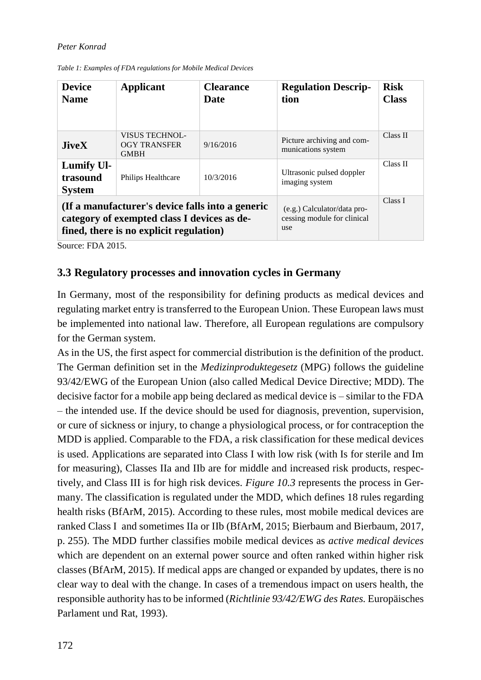| <b>Device</b><br><b>Name</b>                   | Applicant                                                                                                                                  | <b>Clearance</b><br>Date                                          | <b>Regulation Descrip-</b><br>tion               | <b>Risk</b><br><b>Class</b> |
|------------------------------------------------|--------------------------------------------------------------------------------------------------------------------------------------------|-------------------------------------------------------------------|--------------------------------------------------|-----------------------------|
| JiveX                                          | <b>VISUS TECHNOL-</b><br><b>OGY TRANSFER</b><br><b>GMBH</b>                                                                                | 9/16/2016                                                         | Picture archiving and com-<br>munications system | Class II                    |
| <b>Lumify Ul-</b><br>trasound<br><b>System</b> | <b>Philips Healthcare</b>                                                                                                                  | 10/3/2016                                                         | Ultrasonic pulsed doppler<br>imaging system      | Class II                    |
|                                                | (If a manufacturer's device falls into a generic<br>category of exempted class I devices as de-<br>fined, there is no explicit regulation) | (e.g.) Calculator/data pro-<br>cessing module for clinical<br>use | Class I                                          |                             |

*Table 1: Examples of FDA regulations for Mobile Medical Devices*

Source: FDA 2015.

#### <span id="page-9-0"></span>**3.3 Regulatory processes and innovation cycles in Germany**

In Germany, most of the responsibility for defining products as medical devices and regulating market entry is transferred to the European Union. These European laws must be implemented into national law. Therefore, all European regulations are compulsory for the German system.

As in the US, the first aspect for commercial distribution is the definition of the product. The German definition set in the *Medizinproduktegesetz* (MPG) follows the guideline 93/42/EWG of the European Union (also called Medical Device Directive; MDD). The decisive factor for a mobile app being declared as medical device is – similar to the FDA – the intended use. If the device should be used for diagnosis, prevention, supervision, or cure of sickness or injury, to change a physiological process, or for contraception the MDD is applied. Comparable to the FDA, a risk classification for these medical devices is used. Applications are separated into Class I with low risk (with Is for sterile and Im for measuring), Classes IIa and IIb are for middle and increased risk products, respectively, and Class III is for high risk devices. *Figure 10.3* represents the process in Germany. The classification is regulated under the MDD, which defines 18 rules regarding health risks (BfArM, 2015). According to these rules, most mobile medical devices are ranked Class I and sometimes IIa or IIb (BfArM, 2015; Bierbaum and Bierbaum, 2017, p. 255). The MDD further classifies mobile medical devices as *active medical devices* which are dependent on an external power source and often ranked within higher risk classes (BfArM, 2015). If medical apps are changed or expanded by updates, there is no clear way to deal with the change. In cases of a tremendous impact on users health, the responsible authority has to be informed (*Richtlinie 93/42/EWG des Rates.* Europäisches Parlament und Rat, 1993).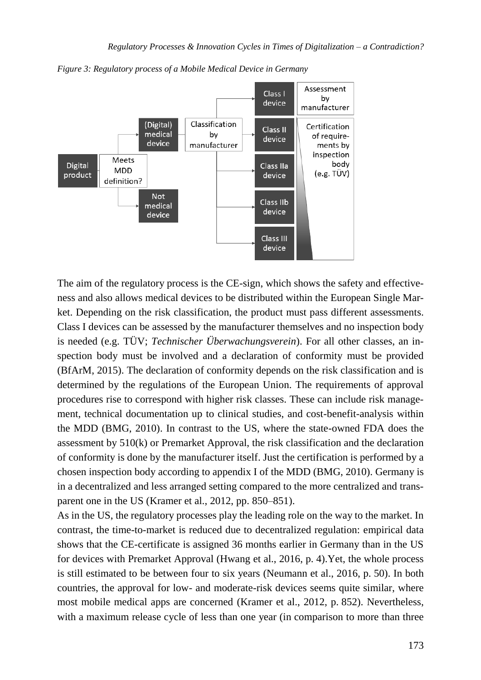

*Figure 3: Regulatory process of a Mobile Medical Device in Germany*

The aim of the regulatory process is the CE-sign, which shows the safety and effectiveness and also allows medical devices to be distributed within the European Single Market. Depending on the risk classification, the product must pass different assessments. Class I devices can be assessed by the manufacturer themselves and no inspection body is needed (e.g. TÜV; *Technischer Überwachungsverein*). For all other classes, an inspection body must be involved and a declaration of conformity must be provided (BfArM, 2015). The declaration of conformity depends on the risk classification and is determined by the regulations of the European Union. The requirements of approval procedures rise to correspond with higher risk classes. These can include risk management, technical documentation up to clinical studies, and cost-benefit-analysis within the MDD (BMG, 2010). In contrast to the US, where the state-owned FDA does the assessment by 510(k) or Premarket Approval, the risk classification and the declaration of conformity is done by the manufacturer itself. Just the certification is performed by a chosen inspection body according to appendix I of the MDD (BMG, 2010). Germany is in a decentralized and less arranged setting compared to the more centralized and transparent one in the US (Kramer et al., 2012, pp. 850–851).

As in the US, the regulatory processes play the leading role on the way to the market. In contrast, the time-to-market is reduced due to decentralized regulation: empirical data shows that the CE-certificate is assigned 36 months earlier in Germany than in the US for devices with Premarket Approval (Hwang et al., 2016, p. 4).Yet, the whole process is still estimated to be between four to six years (Neumann et al., 2016, p. 50). In both countries, the approval for low- and moderate-risk devices seems quite similar, where most mobile medical apps are concerned (Kramer et al., 2012, p. 852). Nevertheless, with a maximum release cycle of less than one year (in comparison to more than three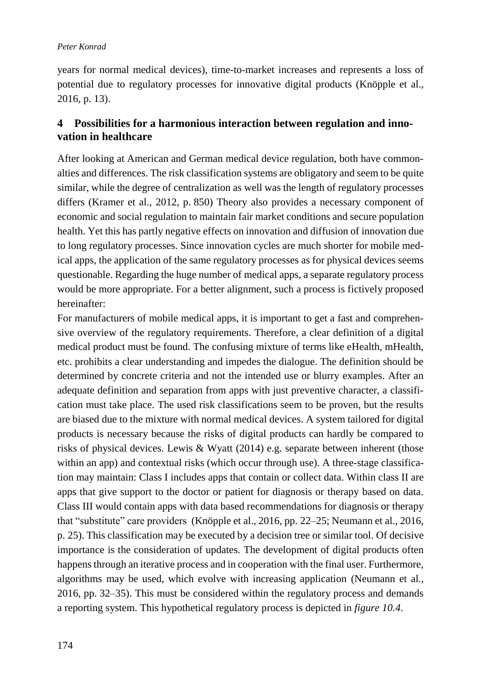years for normal medical devices), time-to-market increases and represents a loss of potential due to regulatory processes for innovative digital products (Knöpple et al., 2016, p. 13).

### <span id="page-11-0"></span>**4 Possibilities for a harmonious interaction between regulation and innovation in healthcare**

After looking at American and German medical device regulation, both have commonalties and differences. The risk classification systems are obligatory and seem to be quite similar, while the degree of centralization as well was the length of regulatory processes differs (Kramer et al., 2012, p. 850) Theory also provides a necessary component of economic and social regulation to maintain fair market conditions and secure population health. Yet this has partly negative effects on innovation and diffusion of innovation due to long regulatory processes. Since innovation cycles are much shorter for mobile medical apps, the application of the same regulatory processes as for physical devices seems questionable. Regarding the huge number of medical apps, a separate regulatory process would be more appropriate. For a better alignment, such a process is fictively proposed hereinafter:

For manufacturers of mobile medical apps, it is important to get a fast and comprehensive overview of the regulatory requirements. Therefore, a clear definition of a digital medical product must be found. The confusing mixture of terms like eHealth, mHealth, etc. prohibits a clear understanding and impedes the dialogue. The definition should be determined by concrete criteria and not the intended use or blurry examples. After an adequate definition and separation from apps with just preventive character, a classification must take place. The used risk classifications seem to be proven, but the results are biased due to the mixture with normal medical devices. A system tailored for digital products is necessary because the risks of digital products can hardly be compared to risks of physical devices. Lewis & Wyatt (2014) e.g. separate between inherent (those within an app) and contextual risks (which occur through use). A three-stage classification may maintain: Class I includes apps that contain or collect data. Within class II are apps that give support to the doctor or patient for diagnosis or therapy based on data. Class III would contain apps with data based recommendations for diagnosis or therapy that "substitute" care providers (Knöpple et al., 2016, pp. 22–25; Neumann et al., 2016, p. 25). This classification may be executed by a decision tree or similar tool. Of decisive importance is the consideration of updates. The development of digital products often happens through an iterative process and in cooperation with the final user. Furthermore, algorithms may be used, which evolve with increasing application (Neumann et al., 2016, pp. 32–35). This must be considered within the regulatory process and demands a reporting system. This hypothetical regulatory process is depicted in *figure 10.4*.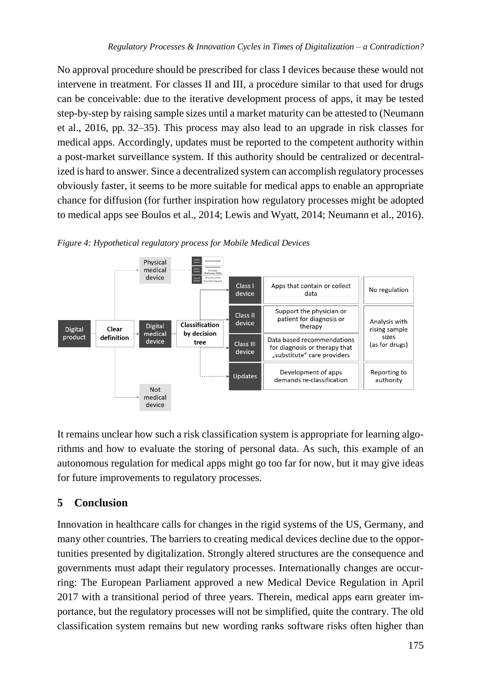No approval procedure should be prescribed for class I devices because these would not intervene in treatment. For classes II and III, a procedure similar to that used for drugs can be conceivable: due to the iterative development process of apps, it may be tested step-by-step by raising sample sizes until a market maturity can be attested to (Neumann et al., 2016, pp. 32–35). This process may also lead to an upgrade in risk classes for medical apps. Accordingly, updates must be reported to the competent authority within a post-market surveillance system. If this authority should be centralized or decentralized is hard to answer. Since a decentralized system can accomplish regulatory processes obviously faster, it seems to be more suitable for medical apps to enable an appropriate chance for diffusion (for further inspiration how regulatory processes might be adopted to medical apps see Boulos et al., 2014; Lewis and Wyatt, 2014; Neumann et al., 2016).





It remains unclear how such a risk classification system is appropriate for learning algorithms and how to evaluate the storing of personal data. As such, this example of an autonomous regulation for medical apps might go too far for now, but it may give ideas for future improvements to regulatory processes.

# <span id="page-12-0"></span>**5 Conclusion**

Innovation in healthcare calls for changes in the rigid systems of the US, Germany, and many other countries. The barriers to creating medical devices decline due to the opportunities presented by digitalization. Strongly altered structures are the consequence and governments must adapt their regulatory processes. Internationally changes are occurring: The European Parliament approved a new Medical Device Regulation in April 2017 with a transitional period of three years. Therein, medical apps earn greater importance, but the regulatory processes will not be simplified, quite the contrary. The old classification system remains but new wording ranks software risks often higher than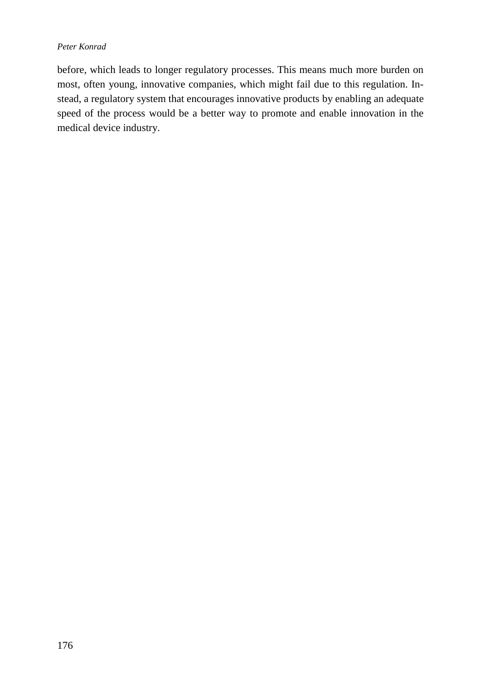before, which leads to longer regulatory processes. This means much more burden on most, often young, innovative companies, which might fail due to this regulation. Instead, a regulatory system that encourages innovative products by enabling an adequate speed of the process would be a better way to promote and enable innovation in the medical device industry.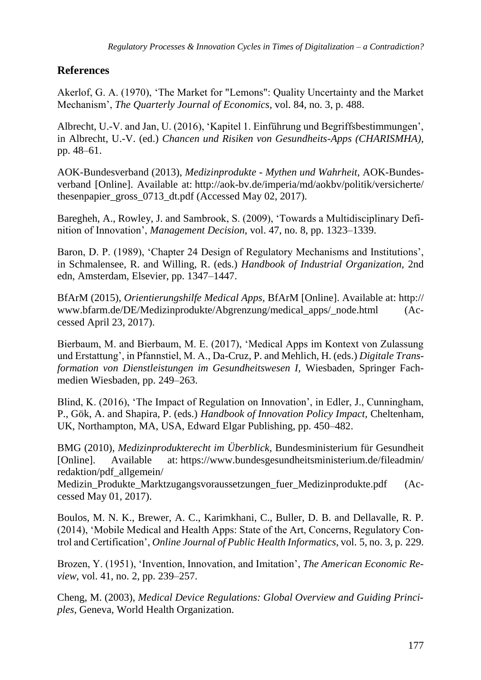## <span id="page-14-0"></span>**References**

Akerlof, G. A. (1970), 'The Market for "Lemons": Quality Uncertainty and the Market Mechanism', *The Quarterly Journal of Economics*, vol. 84, no. 3, p. 488.

Albrecht, U.-V. and Jan, U. (2016), 'Kapitel 1. Einführung und Begriffsbestimmungen', in Albrecht, U.-V. (ed.) *Chancen und Risiken von Gesundheits-Apps (CHARISMHA)*, pp. 48–61.

AOK-Bundesverband (2013), *Medizinprodukte - Mythen und Wahrheit,* AOK-Bundesverband [Online]. Available at: http://aok-bv.de/imperia/md/aokbv/politik/versicherte/ thesenpapier\_gross\_0713\_dt.pdf (Accessed May 02, 2017).

Baregheh, A., Rowley, J. and Sambrook, S. (2009), 'Towards a Multidisciplinary Definition of Innovation', *Management Decision*, vol. 47, no. 8, pp. 1323–1339.

Baron, D. P. (1989), 'Chapter 24 Design of Regulatory Mechanisms and Institutions', in Schmalensee, R. and Willing, R. (eds.) *Handbook of Industrial Organization,* 2nd edn, Amsterdam, Elsevier, pp. 1347–1447.

BfArM (2015), *Orientierungshilfe Medical Apps,* BfArM [Online]. Available at: http:// www.bfarm.de/DE/Medizinprodukte/Abgrenzung/medical\_apps/\_node.html (Accessed April 23, 2017).

Bierbaum, M. and Bierbaum, M. E. (2017), 'Medical Apps im Kontext von Zulassung und Erstattung', in Pfannstiel, M. A., Da-Cruz, P. and Mehlich, H. (eds.) *Digitale Transformation von Dienstleistungen im Gesundheitswesen I,* Wiesbaden, Springer Fachmedien Wiesbaden, pp. 249–263.

Blind, K. (2016), 'The Impact of Regulation on Innovation', in Edler, J., Cunningham, P., Gök, A. and Shapira, P. (eds.) *Handbook of Innovation Policy Impact,* Cheltenham, UK, Northampton, MA, USA, Edward Elgar Publishing, pp. 450–482.

BMG (2010), *Medizinprodukterecht im Überblick,* Bundesministerium für Gesundheit [Online]. Available at: https://www.bundesgesundheitsministerium.de/fileadmin/ redaktion/pdf\_allgemein/

Medizin\_Produkte\_Marktzugangsvoraussetzungen\_fuer\_Medizinprodukte.pdf (Accessed May 01, 2017).

Boulos, M. N. K., Brewer, A. C., Karimkhani, C., Buller, D. B. and Dellavalle, R. P. (2014), 'Mobile Medical and Health Apps: State of the Art, Concerns, Regulatory Control and Certification', *Online Journal of Public Health Informatics*, vol. 5, no. 3, p. 229.

Brozen, Y. (1951), 'Invention, Innovation, and Imitation', *The American Economic Review*, vol. 41, no. 2, pp. 239–257.

Cheng, M. (2003), *Medical Device Regulations: Global Overview and Guiding Principles*, Geneva, World Health Organization.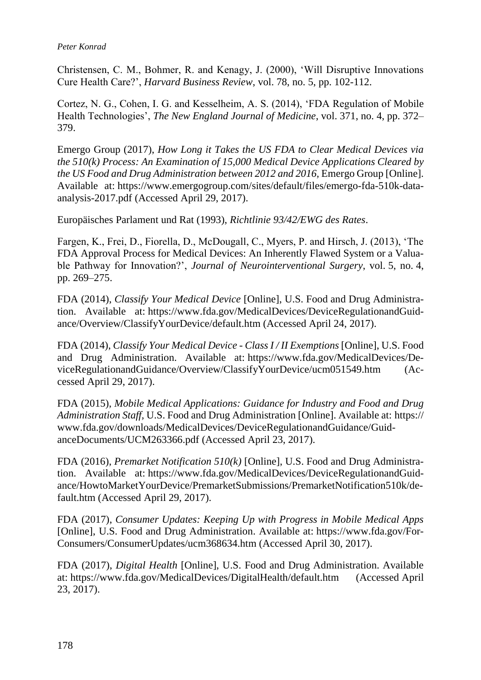Christensen, C. M., Bohmer, R. and Kenagy, J. (2000), 'Will Disruptive Innovations Cure Health Care?', *Harvard Business Review*, vol. 78, no. 5, pp. 102-112.

Cortez, N. G., Cohen, I. G. and Kesselheim, A. S. (2014), 'FDA Regulation of Mobile Health Technologies', *The New England Journal of Medicine*, vol. 371, no. 4, pp. 372– 379.

Emergo Group (2017), *How Long it Takes the US FDA to Clear Medical Devices via the 510(k) Process: An Examination of 15,000 Medical Device Applications Cleared by the US Food and Drug Administration between 2012 and 2016, Emergo Group [Online].* Available at: https://www.emergogroup.com/sites/default/files/emergo-fda-510k-dataanalysis-2017.pdf (Accessed April 29, 2017).

Europäisches Parlament und Rat (1993), *Richtlinie 93/42/EWG des Rates*.

Fargen, K., Frei, D., Fiorella, D., McDougall, C., Myers, P. and Hirsch, J. (2013), 'The FDA Approval Process for Medical Devices: An Inherently Flawed System or a Valuable Pathway for Innovation?', *Journal of Neurointerventional Surgery*, vol. 5, no. 4, pp. 269–275.

FDA (2014), *Classify Your Medical Device* [Online], U.S. Food and Drug Administration. Available at: https://www.fda.gov/MedicalDevices/DeviceRegulationandGuidance/Overview/ClassifyYourDevice/default.htm (Accessed April 24, 2017).

FDA (2014), *Classify Your Medical Device - Class I / II Exemptions* [Online], U.S. Food and Drug Administration. Available at: https://www.fda.gov/MedicalDevices/DeviceRegulationandGuidance/Overview/ClassifyYourDevice/ucm051549.htm (Accessed April 29, 2017).

FDA (2015), *Mobile Medical Applications: Guidance for Industry and Food and Drug Administration Staff,* U.S. Food and Drug Administration [Online]. Available at: https:// www.fda.gov/downloads/MedicalDevices/DeviceRegulationandGuidance/GuidanceDocuments/UCM263366.pdf (Accessed April 23, 2017).

FDA (2016), *Premarket Notification 510(k)* [Online], U.S. Food and Drug Administration. Available at: https://www.fda.gov/MedicalDevices/DeviceRegulationandGuidance/HowtoMarketYourDevice/PremarketSubmissions/PremarketNotification510k/default.htm (Accessed April 29, 2017).

FDA (2017), *Consumer Updates: Keeping Up with Progress in Mobile Medical Apps* [Online], U.S. Food and Drug Administration. Available at: https://www.fda.gov/For-Consumers/ConsumerUpdates/ucm368634.htm (Accessed April 30, 2017).

FDA (2017), *Digital Health* [Online], U.S. Food and Drug Administration. Available at: https://www.fda.gov/MedicalDevices/DigitalHealth/default.htm (Accessed April 23, 2017).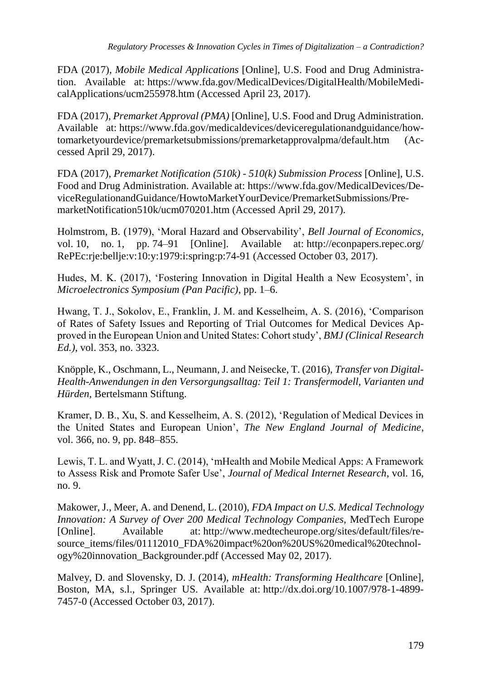FDA (2017), *Mobile Medical Applications* [Online], U.S. Food and Drug Administration. Available at: https://www.fda.gov/MedicalDevices/DigitalHealth/MobileMedicalApplications/ucm255978.htm (Accessed April 23, 2017).

FDA (2017), *Premarket Approval (PMA)* [Online], U.S. Food and Drug Administration. Available at: https://www.fda.gov/medicaldevices/deviceregulationandguidance/howtomarketyourdevice/premarketsubmissions/premarketapprovalpma/default.htm (Accessed April 29, 2017).

FDA (2017), *Premarket Notification (510k) - 510(k) Submission Process* [Online], U.S. Food and Drug Administration. Available at: https://www.fda.gov/MedicalDevices/DeviceRegulationandGuidance/HowtoMarketYourDevice/PremarketSubmissions/PremarketNotification510k/ucm070201.htm (Accessed April 29, 2017).

Holmstrom, B. (1979), 'Moral Hazard and Observability', *Bell Journal of Economics*, vol. 10, no. 1, pp. 74–91 [Online]. Available at: http://econpapers.repec.org/ RePEc:rje:bellje:v:10:y:1979:i:spring:p:74-91 (Accessed October 03, 2017).

Hudes, M. K. (2017), 'Fostering Innovation in Digital Health a New Ecosystem', in *Microelectronics Symposium (Pan Pacific)*, pp. 1–6.

Hwang, T. J., Sokolov, E., Franklin, J. M. and Kesselheim, A. S. (2016), 'Comparison of Rates of Safety Issues and Reporting of Trial Outcomes for Medical Devices Approved in the European Union and United States: Cohort study', *BMJ (Clinical Research Ed.)*, vol. 353, no. 3323.

Knöpple, K., Oschmann, L., Neumann, J. and Neisecke, T. (2016), *Transfer von Digital-Health-Anwendungen in den Versorgungsalltag: Teil 1: Transfermodell, Varianten und Hürden,* Bertelsmann Stiftung.

Kramer, D. B., Xu, S. and Kesselheim, A. S. (2012), 'Regulation of Medical Devices in the United States and European Union', *The New England Journal of Medicine*, vol. 366, no. 9, pp. 848–855.

Lewis, T. L. and Wyatt, J. C. (2014), 'mHealth and Mobile Medical Apps: A Framework to Assess Risk and Promote Safer Use', *Journal of Medical Internet Research*, vol. 16, no. 9.

Makower, J., Meer, A. and Denend, L. (2010), *FDA Impact on U.S. Medical Technology Innovation: A Survey of Over 200 Medical Technology Companies,* MedTech Europe [Online]. Available at: http://www.medtecheurope.org/sites/default/files/resource\_items/files/01112010\_FDA%20impact%20on%20US%20medical%20technology%20innovation\_Backgrounder.pdf (Accessed May 02, 2017).

Malvey, D. and Slovensky, D. J. (2014), *mHealth: Transforming Healthcare* [Online], Boston, MA, s.l., Springer US. Available at: http://dx.doi.org/10.1007/978-1-4899- 7457-0 (Accessed October 03, 2017).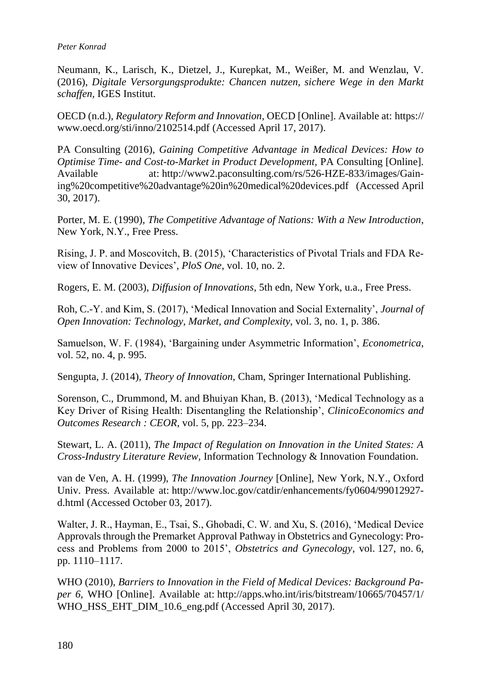Neumann, K., Larisch, K., Dietzel, J., Kurepkat, M., Weißer, M. and Wenzlau, V. (2016), *Digitale Versorgungsprodukte: Chancen nutzen, sichere Wege in den Markt schaffen,* IGES Institut.

OECD (n.d.), *Regulatory Reform and Innovation,* OECD [Online]. Available at: https:// www.oecd.org/sti/inno/2102514.pdf (Accessed April 17, 2017).

PA Consulting (2016), *Gaining Competitive Advantage in Medical Devices: How to Optimise Time- and Cost-to-Market in Product Development,* PA Consulting [Online]. Available at: http://www2.paconsulting.com/rs/526-HZE-833/images/Gaining%20competitive%20advantage%20in%20medical%20devices.pdf (Accessed April 30, 2017).

Porter, M. E. (1990), *The Competitive Advantage of Nations: With a New Introduction*, New York, N.Y., Free Press.

Rising, J. P. and Moscovitch, B. (2015), 'Characteristics of Pivotal Trials and FDA Review of Innovative Devices', *PloS One*, vol. 10, no. 2.

Rogers, E. M. (2003), *Diffusion of Innovations*, 5th edn, New York, u.a., Free Press.

Roh, C.-Y. and Kim, S. (2017), 'Medical Innovation and Social Externality', *Journal of Open Innovation: Technology, Market, and Complexity*, vol. 3, no. 1, p. 386.

Samuelson, W. F. (1984), 'Bargaining under Asymmetric Information', *Econometrica*, vol. 52, no. 4, p. 995.

Sengupta, J. (2014), *Theory of Innovation*, Cham, Springer International Publishing.

Sorenson, C., Drummond, M. and Bhuiyan Khan, B. (2013), 'Medical Technology as a Key Driver of Rising Health: Disentangling the Relationship', *ClinicoEconomics and Outcomes Research : CEOR*, vol. 5, pp. 223–234.

Stewart, L. A. (2011), *The Impact of Regulation on Innovation in the United States: A Cross-Industry Literature Review,* Information Technology & Innovation Foundation.

van de Ven, A. H. (1999), *The Innovation Journey* [Online], New York, N.Y., Oxford Univ. Press. Available at: http://www.loc.gov/catdir/enhancements/fy0604/99012927 d.html (Accessed October 03, 2017).

Walter, J. R., Hayman, E., Tsai, S., Ghobadi, C. W. and Xu, S. (2016), 'Medical Device Approvals through the Premarket Approval Pathway in Obstetrics and Gynecology: Process and Problems from 2000 to 2015', *Obstetrics and Gynecology*, vol. 127, no. 6, pp. 1110–1117.

WHO (2010), *Barriers to Innovation in the Field of Medical Devices: Background Paper 6,* WHO [Online]. Available at: http://apps.who.int/iris/bitstream/10665/70457/1/ WHO\_HSS\_EHT\_DIM\_10.6\_eng.pdf (Accessed April 30, 2017).